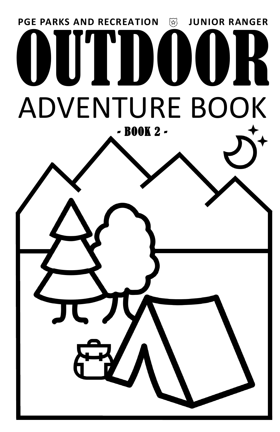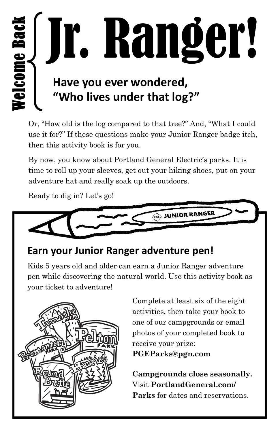Jr. Ranger! Welcome Back  **Have you ever wondered, "Who lives under that log?"**

Or, "How old is the log compared to that tree?" And, "What I could use it for?" If these questions make your Junior Ranger badge itch, then this activity book is for you.

By now, you know about Portland General Electric's parks. It is time to roll up your sleeves, get out your hiking shoes, put on your adventure hat and really soak up the outdoors.

Ready to dig in? Let's go!



#### **Earn your Junior Ranger adventure pen!**

Kids 5 years old and older can earn a Junior Ranger adventure pen while discovering the natural world. Use this activity book as your ticket to adventure!



Complete at least six of the eight activities, then take your book to one of our campgrounds or email photos of your completed book to receive your prize:

**PGEParks@pgn.com** 

**Campgrounds close seasonally.**  Visit **PortlandGeneral.com/ Parks** for dates and reservations.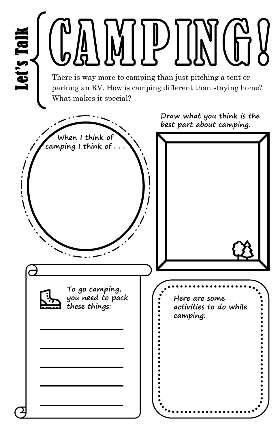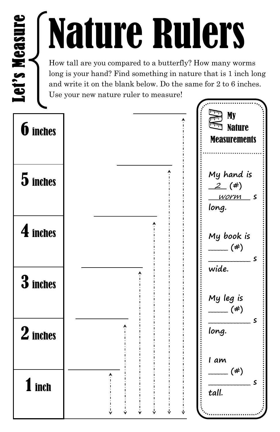### Nature Rulers

How tall are you compared to a butterfly? How many worms long is your hand? Find something in nature that is 1 inch long and write it on the blank below. Do the same for 2 to 6 inches.

Use your new nature ruler to measure!

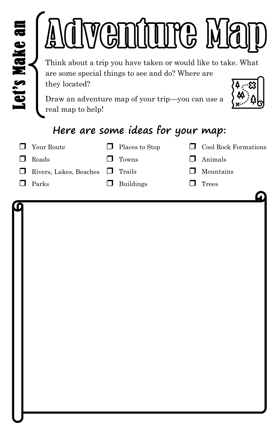| Let's Make an<br>are some special things to see and do? Where are<br>they located?<br>Draw an adventure map of your trip-you can use a<br>real map to help! | <b>WGDIUUTG MA</b>                                  |     | Think about a trip you have taken or would like to take. What |
|-------------------------------------------------------------------------------------------------------------------------------------------------------------|-----------------------------------------------------|-----|---------------------------------------------------------------|
| Your Route<br>TТ                                                                                                                                            | Here are some ideas for your map:<br>Places to Stop |     | Cool Rock Formations                                          |
| П<br>Roads                                                                                                                                                  | Towns                                               | l I | Animals                                                       |
| Rivers, Lakes, Beaches                                                                                                                                      | Trails                                              |     | Mountains                                                     |
| П<br>Parks                                                                                                                                                  | <b>Buildings</b>                                    |     | Trees                                                         |
|                                                                                                                                                             |                                                     |     |                                                               |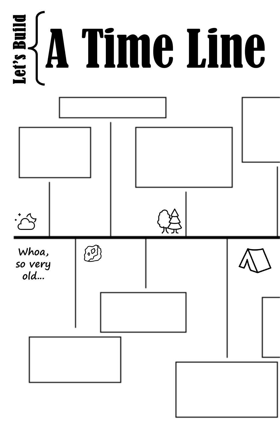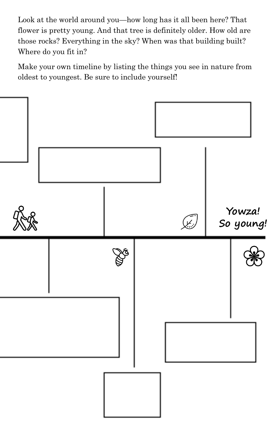Look at the world around you—how long has it all been here? That flower is pretty young. And that tree is definitely older. How old are those rocks? Everything in the sky? When was that building built? Where do you fit in?

Make your own timeline by listing the things you see in nature from oldest to youngest. Be sure to include yourself!

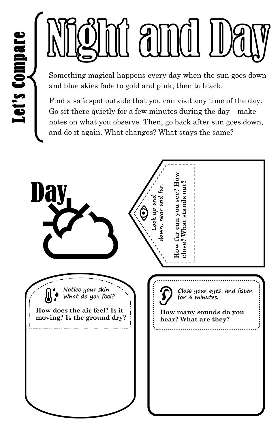## anno

Something magical happens every day when the sun goes down and blue skies fade to gold and pink, then to black.

Find a safe spot outside that you can visit any time of the day. Go sit there quietly for a few minutes during the day—make notes on what you observe. Then, go back after sun goes down, and do it again. What changes? What stays the same?

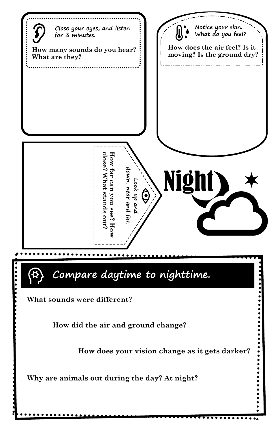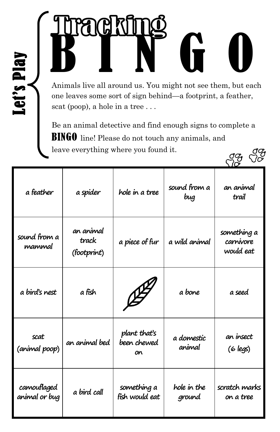# B I N G O

Let's Play

Animals live all around us. You might not see them, but each one leaves some sort of sign behind—a footprint, a feather, scat (poop), a hole in a tree . . .

Be an animal detective and find enough signs to complete a BINGO line! Please do not touch any animals, and leave everything where you found it.  $G^{\sigma}_{\sigma}$   $G^{\sigma}_{\sigma}$ 

| a feather                    | a spider                          | hole in a tree                    | sound from a<br>bug   | an animal<br>trail                    |
|------------------------------|-----------------------------------|-----------------------------------|-----------------------|---------------------------------------|
| sound from a<br>mammal       | an animal<br>track<br>(footprint) | a piece of fur                    | a wild animal         | something a<br>carnivore<br>would eat |
| a bird's nest                | a fish                            |                                   | a bone                | a seed                                |
| scat<br>(animal poop)        | an animal bed                     | plant that's<br>been chewed<br>on | a domestic<br>animal  | an insect<br>(6 legs)                 |
| camouflaged<br>animal or bug | a bird call                       | something a<br>fish would eat     | hole in the<br>ground | scratch marks<br>on a tree            |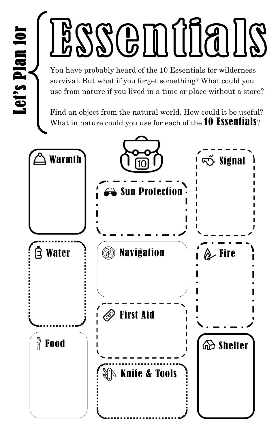## BSSCHUUS

You have probably heard of the 10 Essentials for wilderness survival. But what if you forget something? What could you use from nature if you lived in a time or place without a store?

Find an object from the natural world. How could it be useful? What in nature could you use for each of the  $10$  ESSCNIIAIS?